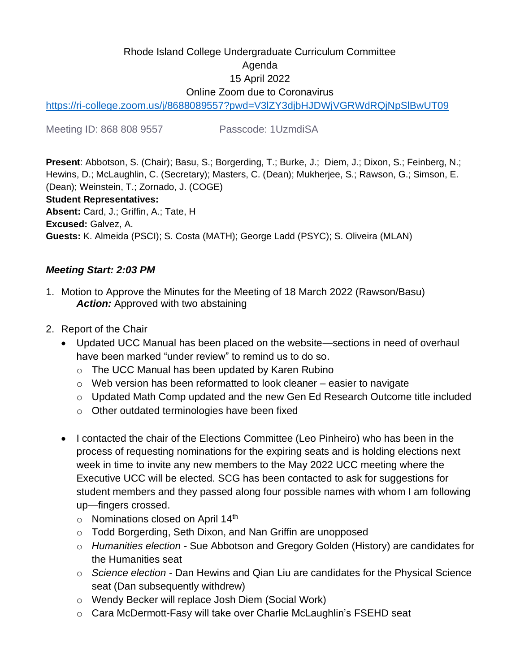# Rhode Island College Undergraduate Curriculum Committee Agenda 15 April 2022 Online Zoom due to Coronavirus

<https://ri-college.zoom.us/j/8688089557?pwd=V3lZY3djbHJDWjVGRWdRQjNpSlBwUT09>

Meeting ID: 868 808 9557 Passcode: 1UzmdiSA

**Present**: Abbotson, S. (Chair); Basu, S.; Borgerding, T.; Burke, J.; Diem, J.; Dixon, S.; Feinberg, N.; Hewins, D.; McLaughlin, C. (Secretary); Masters, C. (Dean); Mukherjee, S.; Rawson, G.; Simson, E. (Dean); Weinstein, T.; Zornado, J. (COGE) **Student Representatives: Absent:** Card, J.; Griffin, A.; Tate, H **Excused:** Galvez, A. **Guests:** K. Almeida (PSCI); S. Costa (MATH); George Ladd (PSYC); S. Oliveira (MLAN)

#### *Meeting Start: 2:03 PM*

- 1. Motion to Approve the Minutes for the Meeting of 18 March 2022 (Rawson/Basu) **Action:** Approved with two abstaining
- 2. Report of the Chair
	- Updated UCC Manual has been placed on the website—sections in need of overhaul have been marked "under review" to remind us to do so.
		- o The UCC Manual has been updated by Karen Rubino
		- $\circ$  Web version has been reformatted to look cleaner easier to navigate
		- o Updated Math Comp updated and the new Gen Ed Research Outcome title included
		- o Other outdated terminologies have been fixed
	- I contacted the chair of the Elections Committee (Leo Pinheiro) who has been in the process of requesting nominations for the expiring seats and is holding elections next week in time to invite any new members to the May 2022 UCC meeting where the Executive UCC will be elected. SCG has been contacted to ask for suggestions for student members and they passed along four possible names with whom I am following up—fingers crossed.
		- $\circ$  Nominations closed on April 14<sup>th</sup>
		- o Todd Borgerding, Seth Dixon, and Nan Griffin are unopposed
		- o *Humanities election* Sue Abbotson and Gregory Golden (History) are candidates for the Humanities seat
		- o *Science election* Dan Hewins and Qian Liu are candidates for the Physical Science seat (Dan subsequently withdrew)
		- o Wendy Becker will replace Josh Diem (Social Work)
		- o Cara McDermott-Fasy will take over Charlie McLaughlin's FSEHD seat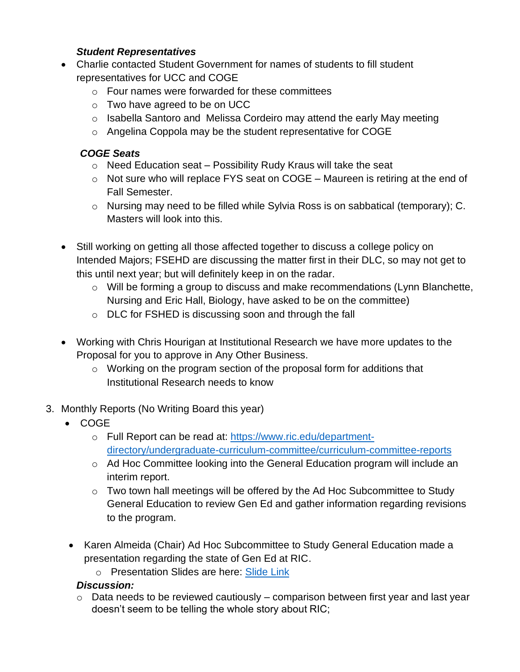### *Student Representatives*

- Charlie contacted Student Government for names of students to fill student representatives for UCC and COGE
	- o Four names were forwarded for these committees
	- o Two have agreed to be on UCC
	- o Isabella Santoro and Melissa Cordeiro may attend the early May meeting
	- o Angelina Coppola may be the student representative for COGE

#### *COGE Seats*

- $\circ$  Need Education seat Possibility Rudy Kraus will take the seat
- $\circ$  Not sure who will replace FYS seat on COGE Maureen is retiring at the end of Fall Semester.
- o Nursing may need to be filled while Sylvia Ross is on sabbatical (temporary); C. Masters will look into this.
- Still working on getting all those affected together to discuss a college policy on Intended Majors; FSEHD are discussing the matter first in their DLC, so may not get to this until next year; but will definitely keep in on the radar.
	- o Will be forming a group to discuss and make recommendations (Lynn Blanchette, Nursing and Eric Hall, Biology, have asked to be on the committee)
	- o DLC for FSHED is discussing soon and through the fall
- Working with Chris Hourigan at Institutional Research we have more updates to the Proposal for you to approve in Any Other Business.
	- o Working on the program section of the proposal form for additions that Institutional Research needs to know
- 3. Monthly Reports (No Writing Board this year)
	- COGE
		- o Full Report can be read at: [https://www.ric.edu/department](https://www.ric.edu/department-directory/undergraduate-curriculum-committee/curriculum-committee-reports)[directory/undergraduate-curriculum-committee/curriculum-committee-reports](https://www.ric.edu/department-directory/undergraduate-curriculum-committee/curriculum-committee-reports)
		- o Ad Hoc Committee looking into the General Education program will include an interim report.
		- o Two town hall meetings will be offered by the Ad Hoc Subcommittee to Study General Education to review Gen Ed and gather information regarding revisions to the program.
	- Karen Almeida (Chair) Ad Hoc Subcommittee to Study General Education made a presentation regarding the state of Gen Ed at RIC.
		- o Presentation Slides are here: [Slide Link](https://docs.google.com/presentation/d/1KGiIheQJMF6WvgkaPZ19CO8z-Y8kkbiOiG7tUXMbJ2s/edit#slide=id.g11e33dd8d37_0_8)

## *Discussion:*

 $\circ$  Data needs to be reviewed cautiously – comparison between first year and last year doesn't seem to be telling the whole story about RIC;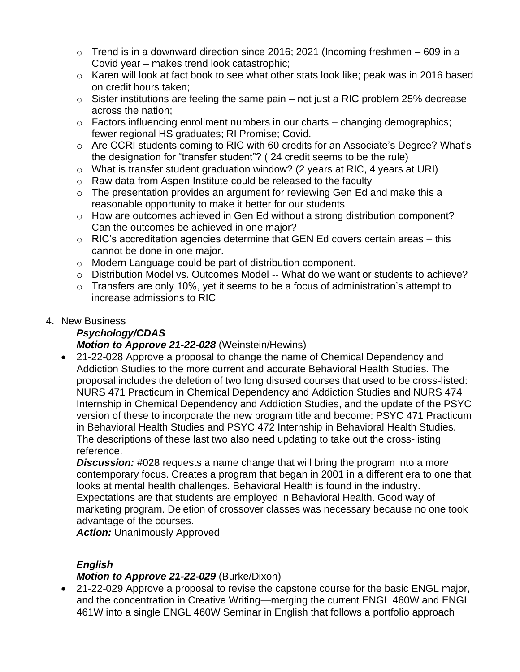- $\circ$  Trend is in a downward direction since 2016; 2021 (Incoming freshmen 609 in a Covid year – makes trend look catastrophic;
- o Karen will look at fact book to see what other stats look like; peak was in 2016 based on credit hours taken;
- $\circ$  Sister institutions are feeling the same pain not just a RIC problem 25% decrease across the nation;
- $\circ$  Factors influencing enrollment numbers in our charts changing demographics; fewer regional HS graduates; RI Promise; Covid.
- o Are CCRI students coming to RIC with 60 credits for an Associate's Degree? What's the designation for "transfer student"? ( 24 credit seems to be the rule)
- o What is transfer student graduation window? (2 years at RIC, 4 years at URI)
- o Raw data from Aspen Institute could be released to the faculty
- $\circ$  The presentation provides an argument for reviewing Gen Ed and make this a reasonable opportunity to make it better for our students
- o How are outcomes achieved in Gen Ed without a strong distribution component? Can the outcomes be achieved in one major?
- $\circ$  RIC's accreditation agencies determine that GEN Ed covers certain areas this cannot be done in one major.
- o Modern Language could be part of distribution component.
- o Distribution Model vs. Outcomes Model -- What do we want or students to achieve?
- $\circ$  Transfers are only 10%, yet it seems to be a focus of administration's attempt to increase admissions to RIC
- 4. New Business

### *Psychology/CDAS Motion to Approve 21-22-028* (Weinstein/Hewins)

• 21-22-028 Approve a proposal to change the name of Chemical Dependency and Addiction Studies to the more current and accurate Behavioral Health Studies. The proposal includes the deletion of two long disused courses that used to be cross-listed: NURS 471 Practicum in Chemical Dependency and Addiction Studies and NURS 474 Internship in Chemical Dependency and Addiction Studies, and the update of the PSYC version of these to incorporate the new program title and become: PSYC 471 Practicum in Behavioral Health Studies and PSYC 472 Internship in Behavioral Health Studies. The descriptions of these last two also need updating to take out the cross-listing reference.

**Discussion:** #028 requests a name change that will bring the program into a more contemporary focus. Creates a program that began in 2001 in a different era to one that looks at mental health challenges. Behavioral Health is found in the industry. Expectations are that students are employed in Behavioral Health. Good way of marketing program. Deletion of crossover classes was necessary because no one took advantage of the courses.

*Action:* Unanimously Approved

## *English*

## *Motion to Approve 21-22-029* (Burke/Dixon)

• 21-22-029 Approve a proposal to revise the capstone course for the basic ENGL major, and the concentration in Creative Writing—merging the current ENGL 460W and ENGL 461W into a single ENGL 460W Seminar in English that follows a portfolio approach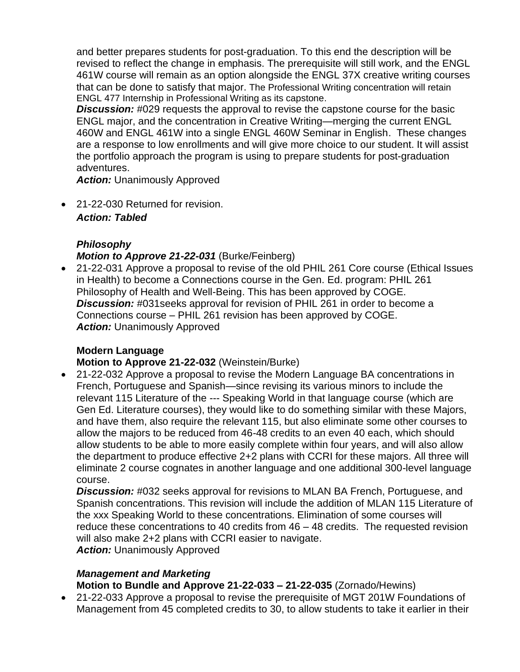and better prepares students for post-graduation. To this end the description will be revised to reflect the change in emphasis. The prerequisite will still work, and the ENGL 461W course will remain as an option alongside the ENGL 37X creative writing courses that can be done to satisfy that major. The Professional Writing concentration will retain ENGL 477 Internship in Professional Writing as its capstone.

**Discussion:** #029 requests the approval to revise the capstone course for the basic ENGL major, and the concentration in Creative Writing—merging the current ENGL 460W and ENGL 461W into a single ENGL 460W Seminar in English. These changes are a response to low enrollments and will give more choice to our student. It will assist the portfolio approach the program is using to prepare students for post-graduation adventures.

*Action:* Unanimously Approved

• 21-22-030 Returned for revision. *Action: Tabled*

## *Philosophy Motion to Approve 21-22-031* (Burke/Feinberg)

• 21-22-031 Approve a proposal to revise of the old PHIL 261 Core course (Ethical Issues in Health) to become a Connections course in the Gen. Ed. program: PHIL 261 Philosophy of Health and Well-Being. This has been approved by COGE. *Discussion:* #031seeks approval for revision of PHIL 261 in order to become a Connections course – PHIL 261 revision has been approved by COGE. *Action:* Unanimously Approved

## **Modern Language**

#### **Motion to Approve 21-22-032** (Weinstein/Burke)

• 21-22-032 Approve a proposal to revise the Modern Language BA concentrations in French, Portuguese and Spanish—since revising its various minors to include the relevant 115 Literature of the --- Speaking World in that language course (which are Gen Ed. Literature courses), they would like to do something similar with these Majors, and have them, also require the relevant 115, but also eliminate some other courses to allow the majors to be reduced from 46-48 credits to an even 40 each, which should allow students to be able to more easily complete within four years, and will also allow the department to produce effective 2+2 plans with CCRI for these majors. All three will eliminate 2 course cognates in another language and one additional 300-level language course.

*Discussion:* #032 seeks approval for revisions to MLAN BA French, Portuguese, and Spanish concentrations. This revision will include the addition of MLAN 115 Literature of the xxx Speaking World to these concentrations. Elimination of some courses will reduce these concentrations to 40 credits from 46 – 48 credits. The requested revision will also make 2+2 plans with CCRI easier to navigate.

*Action:* Unanimously Approved

## *Management and Marketing*

**Motion to Bundle and Approve 21-22-033 – 21-22-035** (Zornado/Hewins)

• 21-22-033 Approve a proposal to revise the prerequisite of MGT 201W Foundations of Management from 45 completed credits to 30, to allow students to take it earlier in their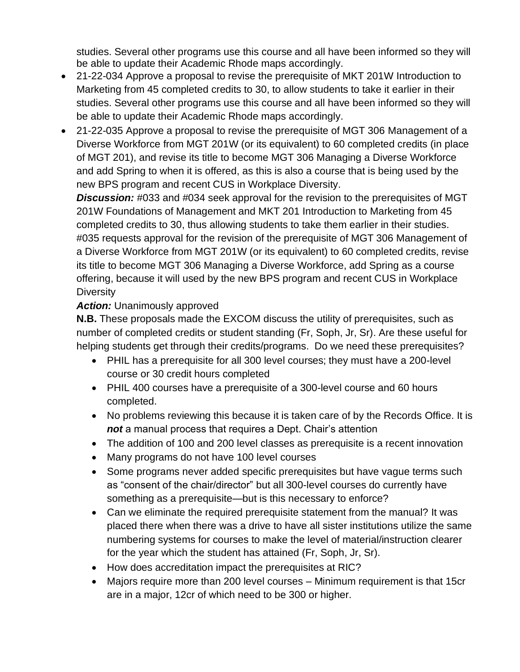studies. Several other programs use this course and all have been informed so they will be able to update their Academic Rhode maps accordingly.

- 21-22-034 Approve a proposal to revise the prerequisite of MKT 201W Introduction to Marketing from 45 completed credits to 30, to allow students to take it earlier in their studies. Several other programs use this course and all have been informed so they will be able to update their Academic Rhode maps accordingly.
- 21-22-035 Approve a proposal to revise the prerequisite of MGT 306 Management of a Diverse Workforce from MGT 201W (or its equivalent) to 60 completed credits (in place of MGT 201), and revise its title to become MGT 306 Managing a Diverse Workforce and add Spring to when it is offered, as this is also a course that is being used by the new BPS program and recent CUS in Workplace Diversity.

**Discussion:** #033 and #034 seek approval for the revision to the prerequisites of MGT 201W Foundations of Management and MKT 201 Introduction to Marketing from 45 completed credits to 30, thus allowing students to take them earlier in their studies. #035 requests approval for the revision of the prerequisite of MGT 306 Management of a Diverse Workforce from MGT 201W (or its equivalent) to 60 completed credits, revise its title to become MGT 306 Managing a Diverse Workforce, add Spring as a course offering, because it will used by the new BPS program and recent CUS in Workplace **Diversity** 

### *Action:* Unanimously approved

**N.B.** These proposals made the EXCOM discuss the utility of prerequisites, such as number of completed credits or student standing (Fr, Soph, Jr, Sr). Are these useful for helping students get through their credits/programs. Do we need these prerequisites?

- PHIL has a prerequisite for all 300 level courses; they must have a 200-level course or 30 credit hours completed
- PHIL 400 courses have a prerequisite of a 300-level course and 60 hours completed.
- No problems reviewing this because it is taken care of by the Records Office. It is *not* a manual process that requires a Dept. Chair's attention
- The addition of 100 and 200 level classes as prerequisite is a recent innovation
- Many programs do not have 100 level courses
- Some programs never added specific prerequisites but have vague terms such as "consent of the chair/director" but all 300-level courses do currently have something as a prerequisite—but is this necessary to enforce?
- Can we eliminate the required prerequisite statement from the manual? It was placed there when there was a drive to have all sister institutions utilize the same numbering systems for courses to make the level of material/instruction clearer for the year which the student has attained (Fr, Soph, Jr, Sr).
- How does accreditation impact the prerequisites at RIC?
- Majors require more than 200 level courses Minimum requirement is that 15cr are in a major, 12cr of which need to be 300 or higher.